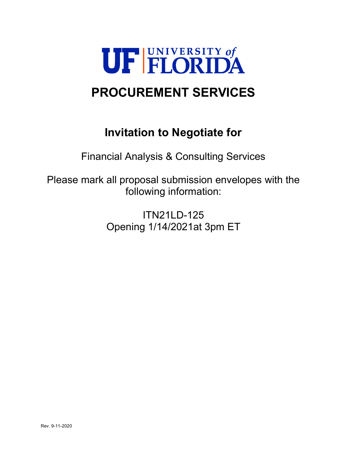

# **PROCUREMENT SERVICES**

# **Invitation to Negotiate for**

Financial Analysis & Consulting Services

Please mark all proposal submission envelopes with the following information:

> ITN21LD-125 Opening 1/14/2021at 3pm ET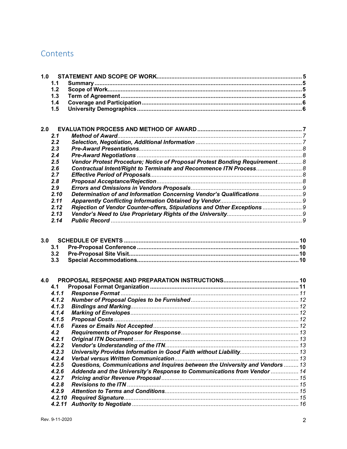# Contents

|     | 1.1    |                                                                               |  |
|-----|--------|-------------------------------------------------------------------------------|--|
|     | 1.2    |                                                                               |  |
|     | 1.3    |                                                                               |  |
|     | 1.4    |                                                                               |  |
|     | 1.5    |                                                                               |  |
|     |        |                                                                               |  |
|     |        |                                                                               |  |
| 2.0 |        |                                                                               |  |
|     | 2.1    |                                                                               |  |
|     | 2.2    |                                                                               |  |
|     | 2.3    |                                                                               |  |
|     | 2.4    |                                                                               |  |
|     | 2.5    | Vendor Protest Procedure; Notice of Proposal Protest Bonding Requirement 8    |  |
|     | 2.6    | Contractual Intent/Right to Terminate and Recommence ITN Process 8            |  |
|     | 2.7    |                                                                               |  |
|     | 2.8    |                                                                               |  |
|     | 2.9    |                                                                               |  |
|     | 2.10   | Determination of and Information Concerning Vendor's Qualifications 9         |  |
|     | 2.11   |                                                                               |  |
|     | 2.12   | Rejection of Vendor Counter-offers, Stipulations and Other Exceptions  9      |  |
|     | 2.13   |                                                                               |  |
|     | 2.14   |                                                                               |  |
|     |        |                                                                               |  |
|     |        |                                                                               |  |
| 3.0 |        |                                                                               |  |
|     | 3.1    |                                                                               |  |
|     | 3.2    |                                                                               |  |
|     | 3.3    |                                                                               |  |
|     |        |                                                                               |  |
| 4.0 |        |                                                                               |  |
|     | 4.1    |                                                                               |  |
|     | 4.1.1  |                                                                               |  |
|     | 4.1.2  |                                                                               |  |
|     | 4.1.3  |                                                                               |  |
|     | 4.1.4  |                                                                               |  |
|     | 4.1.5  |                                                                               |  |
|     | 4.1.6  |                                                                               |  |
|     | 4.2    |                                                                               |  |
|     | 4.2.1  |                                                                               |  |
|     | 4.2.2  |                                                                               |  |
|     | 4.2.3  |                                                                               |  |
|     | 4.2.4  |                                                                               |  |
|     | 4.2.5  | Questions, Communications and Inquires between the University and Vendors  13 |  |
|     | 4.2.6  | Addenda and the University's Response to Communications from Vendor  14       |  |
|     | 4.2.7  |                                                                               |  |
|     | 4.2.8  |                                                                               |  |
|     | 4.2.9  |                                                                               |  |
|     | 4.2.10 |                                                                               |  |
|     | 4.2.11 |                                                                               |  |
|     |        |                                                                               |  |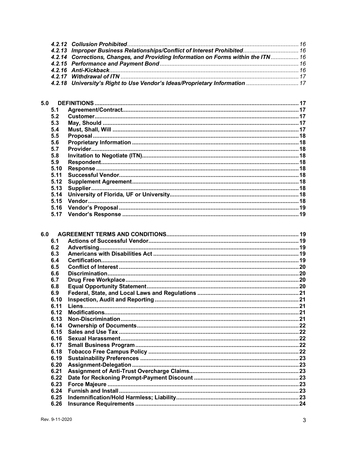| 4.2.13 Improper Business Relationships/Conflict of Interest Prohibited 16         |  |
|-----------------------------------------------------------------------------------|--|
| 4.2.14 Corrections, Changes, and Providing Information on Forms within the ITN 16 |  |
|                                                                                   |  |
|                                                                                   |  |
|                                                                                   |  |
| 4.2.18 University's Right to Use Vendor's Ideas/Proprietary Information  17       |  |
|                                                                                   |  |

| 5.0  |  |
|------|--|
| 5.1  |  |
| 5.2  |  |
| 5.3  |  |
| 5.4  |  |
| 5.5  |  |
| 5.6  |  |
| 5.7  |  |
| 5.8  |  |
| 5.9  |  |
| 5.10 |  |
| 5.11 |  |
| 5.12 |  |
| 5.13 |  |
| 5.14 |  |
| 5.15 |  |
| 5.16 |  |
| 5.17 |  |
|      |  |

| 6.1  |  |
|------|--|
| 6.2  |  |
| 6.3  |  |
| 6.4  |  |
| 6.5  |  |
| 6.6  |  |
| 6.7  |  |
| 6.8  |  |
| 6.9  |  |
| 6.10 |  |
| 6.11 |  |
| 6.12 |  |
| 6.13 |  |
| 6.14 |  |
| 6.15 |  |
| 6.16 |  |
| 6.17 |  |
| 6.18 |  |
| 6.19 |  |
| 6.20 |  |
| 6.21 |  |
| 6.22 |  |
| 6.23 |  |
| 6.24 |  |
| 6.25 |  |
| 6.26 |  |
|      |  |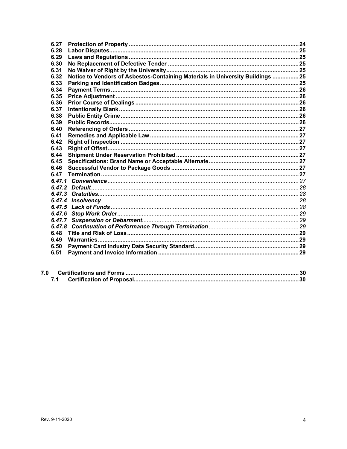| 6.27   |                                                                                |  |
|--------|--------------------------------------------------------------------------------|--|
| 6.28   |                                                                                |  |
| 6.29   |                                                                                |  |
| 6.30   |                                                                                |  |
| 6.31   |                                                                                |  |
| 6.32   | Notice to Vendors of Asbestos-Containing Materials in University Buildings  25 |  |
| 6.33   |                                                                                |  |
| 6.34   |                                                                                |  |
| 6.35   |                                                                                |  |
| 6.36   |                                                                                |  |
| 6.37   |                                                                                |  |
| 6.38   |                                                                                |  |
| 6.39   |                                                                                |  |
| 6.40   |                                                                                |  |
| 6.41   |                                                                                |  |
| 6.42   |                                                                                |  |
| 6.43   |                                                                                |  |
| 6.44   |                                                                                |  |
| 6.45   |                                                                                |  |
| 6.46   |                                                                                |  |
| 6.47   |                                                                                |  |
|        |                                                                                |  |
|        |                                                                                |  |
| 6.47.3 |                                                                                |  |
|        |                                                                                |  |
|        |                                                                                |  |
|        |                                                                                |  |
|        |                                                                                |  |
| 6.47.8 |                                                                                |  |
| 6.48   |                                                                                |  |
| 6.49   |                                                                                |  |
| 6.50   |                                                                                |  |
| 6.51   |                                                                                |  |
|        |                                                                                |  |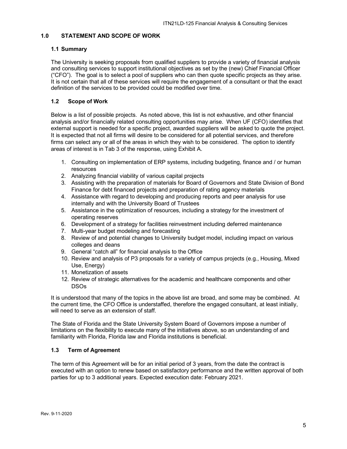# <span id="page-4-0"></span>**1.0 STATEMENT AND SCOPE OF WORK**

### <span id="page-4-1"></span>**1.1 Summary**

The University is seeking proposals from qualified suppliers to provide a variety of financial analysis and consulting services to support institutional objectives as set by the (new) Chief Financial Officer ("CFO"). The goal is to select a pool of suppliers who can then quote specific projects as they arise. It is not certain that all of these services will require the engagement of a consultant or that the exact definition of the services to be provided could be modified over time.

# <span id="page-4-2"></span>**1.2 Scope of Work**

Below is a list of possible projects. As noted above, this list is not exhaustive, and other financial analysis and/or financially related consulting opportunities may arise. When UF (CFO) identifies that external support is needed for a specific project, awarded suppliers will be asked to quote the project. It is expected that not all firms will desire to be considered for all potential services, and therefore firms can select any or all of the areas in which they wish to be considered. The option to identify areas of interest is in Tab 3 of the response, using Exhibit A.

- 1. Consulting on implementation of ERP systems, including budgeting, finance and / or human resources
- 2. Analyzing financial viability of various capital projects
- 3. Assisting with the preparation of materials for Board of Governors and State Division of Bond Finance for debt financed projects and preparation of rating agency materials
- 4. Assistance with regard to developing and producing reports and peer analysis for use internally and with the University Board of Trustees
- 5. Assistance in the optimization of resources, including a strategy for the investment of operating reserves
- 6. Development of a strategy for facilities reinvestment including deferred maintenance
- 7. Multi-year budget modeling and forecasting
- 8. Review of and potential changes to University budget model, including impact on various colleges and deans
- 9. General "catch all" for financial analysis to the Office
- 10. Review and analysis of P3 proposals for a variety of campus projects (e.g., Housing, Mixed Use, Energy)
- 11. Monetization of assets
- 12. Review of strategic alternatives for the academic and healthcare components and other DSOs

It is understood that many of the topics in the above list are broad, and some may be combined. At the current time, the CFO Office is understaffed, therefore the engaged consultant, at least initially, will need to serve as an extension of staff.

The State of Florida and the State University System Board of Governors impose a number of limitations on the flexibility to execute many of the initiatives above, so an understanding of and familiarity with Florida, Florida law and Florida institutions is beneficial.

# <span id="page-4-3"></span>**1.3 Term of Agreement**

The term of this Agreement will be for an initial period of 3 years, from the date the contract is executed with an option to renew based on satisfactory performance and the written approval of both parties for up to 3 additional years. Expected execution date: February 2021.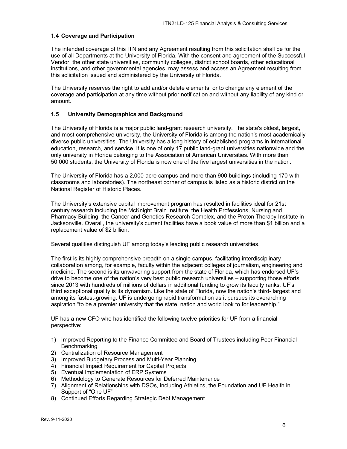#### <span id="page-5-0"></span>**1.4 Coverage and Participation**

The intended coverage of this ITN and any Agreement resulting from this solicitation shall be for the use of all Departments at the University of Florida. With the consent and agreement of the Successful Vendor, the other state universities, community colleges, district school boards, other educational institutions, and other governmental agencies, may assess and access an Agreement resulting from this solicitation issued and administered by the University of Florida.

The University reserves the right to add and/or delete elements, or to change any element of the coverage and participation at any time without prior notification and without any liability of any kind or amount.

#### <span id="page-5-1"></span>**1.5 University Demographics and Background**

The University of Florida is a major public land-grant research university. The state's oldest, largest, and most comprehensive university, the University of Florida is among the nation's most academically diverse public universities. The University has a long history of established programs in international education, research, and service. It is one of only 17 public land-grant universities nationwide and the only university in Florida belonging to the Association of American Universities. With more than 50,000 students, the University of Florida is now one of the five largest universities in the nation.

The University of Florida has a 2,000-acre campus and more than 900 buildings (including 170 with classrooms and laboratories). The northeast corner of campus is listed as a historic district on the National Register of Historic Places.

The University's extensive capital improvement program has resulted in facilities ideal for 21st century research including the McKnight Brain Institute, the Health Professions, Nursing and Pharmacy Building, the Cancer and Genetics Research Complex, and the Proton Therapy Institute in Jacksonville. Overall, the university's current facilities have a book value of more than \$1 billion and a replacement value of \$2 billion.

Several qualities distinguish UF among today's leading public research universities.

The first is its highly comprehensive breadth on a single campus, facilitating interdisciplinary collaboration among, for example, faculty within the adjacent colleges of journalism, engineering and medicine. The second is its unwavering support from the state of Florida, which has endorsed UF's drive to become one of the nation's very best public research universities – supporting those efforts since 2013 with hundreds of millions of dollars in additional funding to grow its faculty ranks. UF's third exceptional quality is its dynamism. Like the state of Florida, now the nation's third- largest and among its fastest-growing, UF is undergoing rapid transformation as it pursues its overarching aspiration "to be a premier university that the state, nation and world look to for leadership."

UF has a new CFO who has identified the following twelve priorities for UF from a financial perspective:

- 1) Improved Reporting to the Finance Committee and Board of Trustees including Peer Financial **Benchmarking**
- 2) Centralization of Resource Management
- 3) Improved Budgetary Process and Multi-Year Planning
- 4) Financial Impact Requirement for Capital Projects
- 5) Eventual Implementation of ERP Systems
- 6) Methodology to Generate Resources for Deferred Maintenance
- 7) Alignment of Relationships with DSOs, including Athletics, the Foundation and UF Health in Support of "One UF"
- 8) Continued Efforts Regarding Strategic Debt Management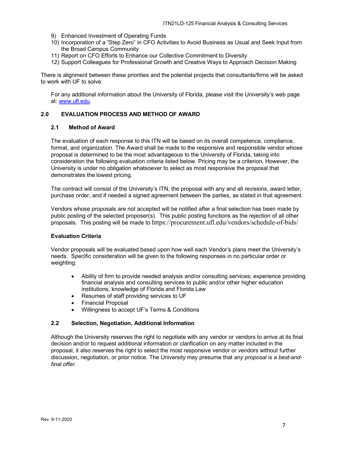- 9) Enhanced Investment of Operating Funds
- 10) Incorporation of a "Step Zero" in CFO Activities to Avoid Business as Usual and Seek Input from the Broad Campus Community
- 11) Report on CFO Efforts to Enhance our Collective Commitment to Diversity
- 12) Support Colleagues for Professional Growth and Creative Ways to Approach Decision Making

There is alignment between these priorities and the potential projects that consultants/firms will be asked to work with UF to solve.

For any additional information about the University of Florida, please visit the University's web page at: [www.ufl.edu.](http://www.ufl.edu/)

# <span id="page-6-0"></span>**2.0 EVALUATION PROCESS AND METHOD OF AWARD**

#### <span id="page-6-1"></span>**2.1 Method of Award**

The evaluation of each response to this ITN will be based on its overall competence, compliance, format, and organization. The Award shall be made to the responsive and responsible vendor whose proposal is determined to be the most advantageous to the University of Florida, taking into consideration the following evaluation criteria listed below. Pricing may be a criterion. However, the University is under no obligation whatsoever to select as most responsive the proposal that demonstrates the lowest pricing.

The contract will consist of the University's ITN, the proposal with any and all revisions, award letter, purchase order, and if needed a signed agreement between the parties, as stated in that agreement.

Vendors whose proposals are not accepted will be notified after a final selection has been made by public posting of the selected proposer(s). This public posting functions as the rejection of all other proposals. This posting will be made to https://procurement.ufl.edu/vendors/schedule-of-bids/

#### **Evaluation Criteria**

Vendor proposals will be evaluated based upon how well each Vendor's plans meet the University's needs. Specific consideration will be given to the following responses in no particular order or weighting:

- Ability of firm to provide needed analysis and/or consulting services; experience providing financial analysis and consulting services to public and/or other higher education institutions, knowledge of Florida and Florida Law
- Resumes of staff providing services to UF
- Financial Proposal
- Willingness to accept UF's Terms & Conditions

#### <span id="page-6-2"></span>**2.2 Selection, Negotiation, Additional Information**

Although the University reserves the right to negotiate with any vendor or vendors to arrive at its final decision and/or to request additional information or clarification on any matter included in the proposal, it also reserves the right to select the most responsive vendor or vendors without further discussion, negotiation, or prior notice. The University may presume that *any proposal is a best-andfinal offer.*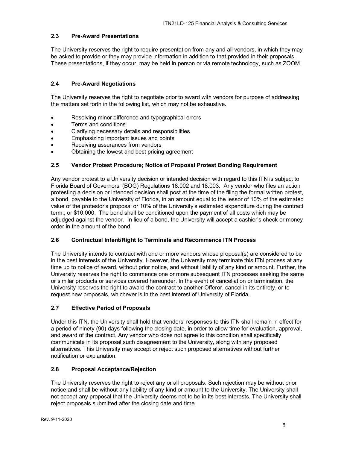# <span id="page-7-0"></span>**2.3 Pre-Award Presentations**

The University reserves the right to require presentation from any and all vendors, in which they may be asked to provide or they may provide information in addition to that provided in their proposals. These presentations, if they occur, may be held in person or via remote technology, such as ZOOM.

# <span id="page-7-1"></span>**2.4 Pre-Award Negotiations**

The University reserves the right to negotiate prior to award with vendors for purpose of addressing the matters set forth in the following list, which may not be exhaustive.

- Resolving minor difference and typographical errors
- Terms and conditions
- Clarifying necessary details and responsibilities
- Emphasizing important issues and points
- Receiving assurances from vendors
- Obtaining the lowest and best pricing agreement

# <span id="page-7-2"></span>**2.5 Vendor Protest Procedure; Notice of Proposal Protest Bonding Requirement**

Any vendor protest to a University decision or intended decision with regard to this ITN is subject to Florida Board of Governors' (BOG) Regulations 18.002 and 18.003. Any vendor who files an action protesting a decision or intended decision shall post at the time of the filing the formal written protest, a bond, payable to the University of Florida, in an amount equal to the lessor of 10% of the estimated value of the protestor's proposal or 10% of the University's estimated expenditure during the contract term:, or \$10,000. The bond shall be conditioned upon the payment of all costs which may be adjudged against the vendor. In lieu of a bond, the University will accept a cashier's check or money order in the amount of the bond.

# <span id="page-7-3"></span>**2.6 Contractual Intent/Right to Terminate and Recommence ITN Process**

The University intends to contract with one or more vendors whose proposal(s) are considered to be in the best interests of the University. However, the University may terminate this ITN process at any time up to notice of award, without prior notice, and without liability of any kind or amount. Further, the University reserves the right to commence one or more subsequent ITN processes seeking the same or similar products or services covered hereunder. In the event of cancellation or termination, the University reserves the right to award the contract to another Offeror, cancel in its entirety, or to request new proposals, whichever is in the best interest of University of Florida.

# <span id="page-7-4"></span>**2.7 Effective Period of Proposals**

Under this ITN, the University shall hold that vendors' responses to this ITN shall remain in effect for a period of ninety (90) days following the closing date, in order to allow time for evaluation, approval, and award of the contract. Any vendor who does not agree to this condition shall specifically communicate in its proposal such disagreement to the University, along with any proposed alternatives. This University may accept or reject such proposed alternatives without further notification or explanation.

# <span id="page-7-5"></span>**2.8 Proposal Acceptance/Rejection**

The University reserves the right to reject any or all proposals. Such rejection may be without prior notice and shall be without any liability of any kind or amount to the University. The University shall not accept any proposal that the University deems not to be in its best interests. The University shall reject proposals submitted after the closing date and time.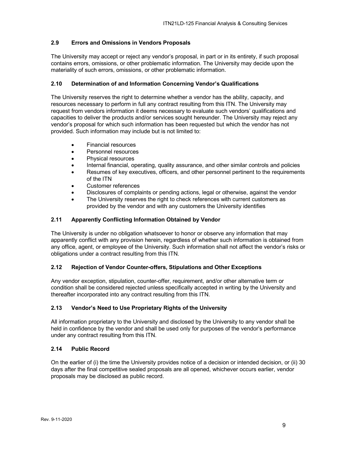# <span id="page-8-0"></span>**2.9 Errors and Omissions in Vendors Proposals**

The University may accept or reject any vendor's proposal, in part or in its entirety, if such proposal contains errors, omissions, or other problematic information. The University may decide upon the materiality of such errors, omissions, or other problematic information.

# <span id="page-8-1"></span>**2.10 Determination of and Information Concerning Vendor's Qualifications**

The University reserves the right to determine whether a vendor has the ability, capacity, and resources necessary to perform in full any contract resulting from this ITN. The University may request from vendors information it deems necessary to evaluate such vendors' qualifications and capacities to deliver the products and/or services sought hereunder. The University may reject any vendor's proposal for which such information has been requested but which the vendor has not provided. Such information may include but is not limited to:

- Financial resources
- Personnel resources
- Physical resources
- Internal financial, operating, quality assurance, and other similar controls and policies
- Resumes of key executives, officers, and other personnel pertinent to the requirements of the ITN
- Customer references
- Disclosures of complaints or pending actions, legal or otherwise, against the vendor
- The University reserves the right to check references with current customers as provided by the vendor and with any customers the University identifies

#### <span id="page-8-2"></span>**2.11 Apparently Conflicting Information Obtained by Vendor**

The University is under no obligation whatsoever to honor or observe any information that may apparently conflict with any provision herein, regardless of whether such information is obtained from any office, agent, or employee of the University. Such information shall not affect the vendor's risks or obligations under a contract resulting from this ITN.

# <span id="page-8-3"></span>**2.12 Rejection of Vendor Counter-offers, Stipulations and Other Exceptions**

Any vendor exception, stipulation, counter-offer, requirement, and/or other alternative term or condition shall be considered rejected unless specifically accepted in writing by the University and thereafter incorporated into any contract resulting from this ITN.

#### <span id="page-8-4"></span>**2.13 Vendor's Need to Use Proprietary Rights of the University**

All information proprietary to the University and disclosed by the University to any vendor shall be held in confidence by the vendor and shall be used only for purposes of the vendor's performance under any contract resulting from this ITN.

# <span id="page-8-5"></span>**2.14 Public Record**

On the earlier of (i) the time the University provides notice of a decision or intended decision, or (ii) 30 days after the final competitive sealed proposals are all opened, whichever occurs earlier, vendor proposals may be disclosed as public record.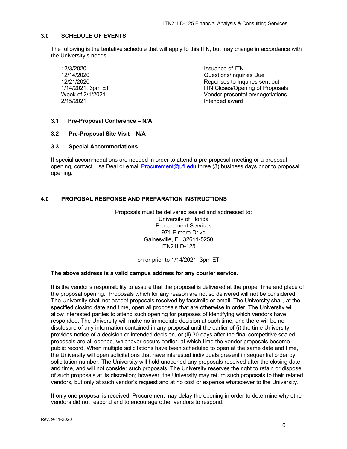# <span id="page-9-0"></span>**3.0 SCHEDULE OF EVENTS**

The following is the tentative schedule that will apply to this ITN, but may change in accordance with the University's needs.

12/3/2020 **Issuance of ITN** 

12/14/2020 Questions/Inquiries Due Reponses to Inquires sent out 1/14/2021, 3pm ET 114/2021, 3pm ET 114/2021, 3pm ET 114/2021, 3pm ET 114/2021<br>
Week of 2/1/2021 Week of 2/1/2021 Vendor presentation/negotiations Intended award

# <span id="page-9-1"></span>**3.1 Pre-Proposal Conference – N/A**

#### <span id="page-9-2"></span>**3.2 Pre-Proposal Site Visit – N/A**

# <span id="page-9-3"></span>**3.3 Special Accommodations**

If special accommodations are needed in order to attend a pre-proposal meeting or a proposal opening, contact Lisa Deal or email [Procurement@ufl.edu](mailto:Procurement@ufl.edu) three (3) business days prior to proposal opening.

# <span id="page-9-4"></span>**4.0 PROPOSAL RESPONSE AND PREPARATION INSTRUCTIONS**

Proposals must be delivered sealed and addressed to: University of Florida Procurement Services 971 Elmore Drive Gainesville, FL 32611-5250 ITN21LD-125

on or prior to 1/14/2021, 3pm ET

#### **The above address is a valid campus address for any courier service.**

It is the vendor's responsibility to assure that the proposal is delivered at the proper time and place of the proposal opening. Proposals which for any reason are not so delivered will not be considered. The University shall not accept proposals received by facsimile or email. The University shall, at the specified closing date and time, open all proposals that are otherwise in order. The University will allow interested parties to attend such opening for purposes of identifying which vendors have responded. The University will make no immediate decision at such time, and there will be no disclosure of any information contained in any proposal until the earlier of (i) the time University provides notice of a decision or intended decision, or (ii) 30 days after the final competitive sealed proposals are all opened, whichever occurs earlier, at which time the vendor proposals become public record. When multiple solicitations have been scheduled to open at the same date and time, the University will open solicitations that have interested individuals present in sequential order by solicitation number. The University will hold unopened any proposals received after the closing date and time, and will not consider such proposals. The University reserves the right to retain or dispose of such proposals at its discretion; however, the University may return such proposals to their related vendors, but only at such vendor's request and at no cost or expense whatsoever to the University.

If only one proposal is received, Procurement may delay the opening in order to determine why other vendors did not respond and to encourage other vendors to respond.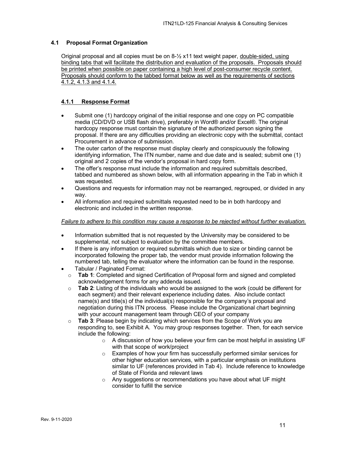# <span id="page-10-0"></span>**4.1 Proposal Format Organization**

Original proposal and all copies must be on 8-½ x11 text weight paper, double-sided, using binding tabs that will facilitate the distribution and evaluation of the proposals. Proposals should be printed when possible on paper containing a high level of post-consumer recycle content. Proposals should conform to the tabbed format below as well as the requirements of sections 4.1.2, 4.1.3 and 4.1.4.

# <span id="page-10-1"></span>**4.1.1 Response Format**

- Submit one (1) hardcopy original of the initial response and one copy on PC compatible media (CD/DVD or USB flash drive), preferably in Word® and/or Excel®. The original hardcopy response must contain the signature of the authorized person signing the proposal. If there are any difficulties providing an electronic copy with the submittal, contact Procurement in advance of submission.
- The outer carton of the response must display clearly and conspicuously the following identifying information, The ITN number, name and due date and is sealed; submit one (1) original and 2 copies of the vendor's proposal in hard copy form.
- The offer's response must include the information and required submittals described, tabbed and numbered as shown below, with all information appearing in the Tab in which it was requested.
- Questions and requests for information may not be rearranged, regrouped, or divided in any way.
- All information and required submittals requested need to be in both hardcopy and electronic and included in the written response.

#### *Failure to adhere to this condition may cause a response to be rejected without further evaluation.*

- Information submitted that is not requested by the University may be considered to be supplemental, not subject to evaluation by the committee members.
- If there is any information or required submittals which due to size or binding cannot be incorporated following the proper tab, the vendor must provide information following the numbered tab, telling the evaluator where the information can be found in the response.
- Tabular / Paginated Format:
	- o **Tab 1**: Completed and signed Certification of Proposal form and signed and completed acknowledgement forms for any addenda issued.
	- o **Tab 2**: Listing of the individuals who would be assigned to the work (could be different for each segment) and their relevant experience including dates. Also include contact name(s) and title(s) of the individual(s) responsible for the company's proposal and negotiation during this ITN process. Please include the Organizational chart beginning with your account management team through CEO of your company
	- o **Tab 3**: Please begin by indicating which services from the Scope of Work you are responding to, see Exhibit A. You may group responses together. Then, for each service include the following:
		- $\circ$  A discussion of how you believe your firm can be most helpful in assisting UF with that scope of work/project
		- $\circ$  Examples of how your firm has successfully performed similar services for other higher education services, with a particular emphasis on institutions similar to UF (references provided in Tab 4). Include reference to knowledge of State of Florida and relevant laws
		- o Any suggestions or recommendations you have about what UF might consider to fulfill the service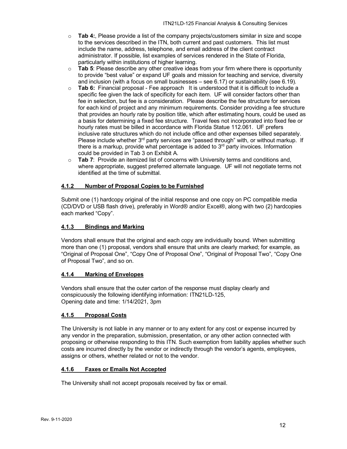- o **Tab 4:**, Please provide a list of the company projects/customers similar in size and scope to the services described in the ITN, both current and past customers. This list must include the name, address, telephone, and email address of the client contract administrator. If possible, list examples of services rendered in the State of Florida, particularly within institutions of higher learning.
- o **Tab 5**: Please describe any other creative ideas from your firm where there is opportunity to provide "best value" or expand UF goals and mission for teaching and service, diversity and inclusion (with a focus on small businesses – see 6.17) or sustainability (see 6.19).
- o **Tab 6:** Financial proposal Fee approach It is understood that it is difficult to include a specific fee given the lack of specificity for each item. UF will consider factors other than fee in selection, but fee is a consideration. Please describe the fee structure for services for each kind of project and any minimum requirements. Consider providing a fee structure that provides an hourly rate by position title, which after estimating hours, could be used as a basis for determining a fixed fee structure. Travel fees not incorporated into fixed fee or hourly rates must be billed in accordance with Florida Statue 112.061. UF prefers inclusive rate structures which do not include office and other expenses billed separately. Please include whether 3<sup>rd</sup> party services are "passed through" with, or without markup. If there is a markup, provide what percentage is added to  $3<sup>rd</sup>$  party invoices. Information could be provided in Tab 3 on Exhibit A.
- o **Tab 7**: Provide an itemized list of concerns with University terms and conditions and, where appropriate, suggest preferred alternate language. UF will not negotiate terms not identified at the time of submittal.

# <span id="page-11-0"></span>**4.1.2 Number of Proposal Copies to be Furnished**

Submit one (1) hardcopy original of the initial response and one copy on PC compatible media (CD/DVD or USB flash drive), preferably in Word® and/or Excel®, along with two (2) hardcopies each marked "Copy".

# <span id="page-11-1"></span>**4.1.3 Bindings and Marking**

Vendors shall ensure that the original and each copy are individually bound. When submitting more than one (1) proposal, vendors shall ensure that units are clearly marked; for example, as "Original of Proposal One", "Copy One of Proposal One", "Original of Proposal Two", "Copy One of Proposal Two", and so on.

# <span id="page-11-2"></span>**4.1.4 Marking of Envelopes**

Vendors shall ensure that the outer carton of the response must display clearly and conspicuously the following identifying information: ITN21LD-125, Opening date and time: 1/14/2021, 3pm

# <span id="page-11-3"></span>**4.1.5 Proposal Costs**

The University is not liable in any manner or to any extent for any cost or expense incurred by any vendor in the preparation, submission, presentation, or any other action connected with proposing or otherwise responding to this ITN. Such exemption from liability applies whether such costs are incurred directly by the vendor or indirectly through the vendor's agents, employees, assigns or others, whether related or not to the vendor.

#### <span id="page-11-4"></span>**4.1.6 Faxes or Emails Not Accepted**

The University shall not accept proposals received by fax or email.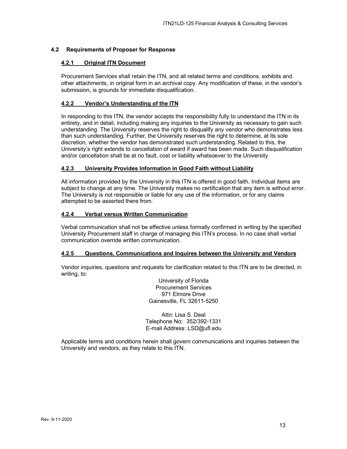# <span id="page-12-1"></span><span id="page-12-0"></span>**4.2 Requirements of Proposer for Response**

### **4.2.1 Original ITN Document**

Procurement Services shall retain the ITN, and all related terms and conditions, exhibits and other attachments, in original form in an archival copy. Any modification of these, in the vendor's submission, is grounds for immediate disqualification.

### <span id="page-12-2"></span>**4.2.2 Vendor's Understanding of the ITN**

In responding to this ITN, the vendor accepts the responsibility fully to understand the ITN in its entirety, and in detail, including making any inquiries to the University as necessary to gain such understanding. The University reserves the right to disqualify any vendor who demonstrates less than such understanding. Further, the University reserves the right to determine, at its sole discretion, whether the vendor has demonstrated such understanding. Related to this, the University's right extends to cancellation of award if award has been made. Such disqualification and/or cancellation shall be at no fault, cost or liability whatsoever to the University.

### <span id="page-12-3"></span>**4.2.3 University Provides Information in Good Faith without Liability**

All information provided by the University in this ITN is offered in good faith. Individual items are subject to change at any time. The University makes no certification that any item is without error. The University is not responsible or liable for any use of the information, or for any claims attempted to be asserted there from.

# <span id="page-12-4"></span>**4.2.4 Verbal versus Written Communication**

Verbal communication shall not be effective unless formally confirmed in writing by the specified University Procurement staff in charge of managing this ITN's process. In no case shall verbal communication override written communication.

## <span id="page-12-5"></span>**4.2.5 Questions, Communications and Inquires between the University and Vendors**

Vendor inquiries, questions and requests for clarification related to this ITN are to be directed, in writing, to:

> University of Florida Procurement Services 971 Elmore Drive Gainesville, FL 32611-5250

Attn: Lisa S. Deal Telephone No: 352/392-1331 E-mail Address: LSD@ufl.edu

Applicable terms and conditions herein shall govern communications and inquiries between the University and vendors, as they relate to this ITN.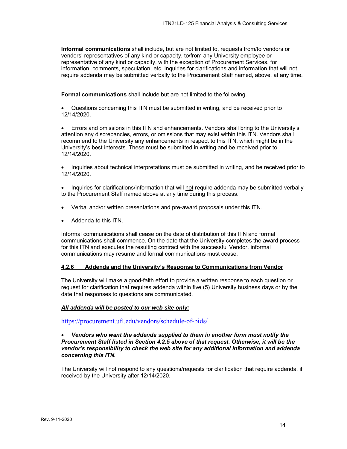**Informal communications** shall include, but are not limited to, requests from/to vendors or vendors' representatives of any kind or capacity, to/from any University employee or representative of any kind or capacity, with the exception of Procurement Services, for information, comments, speculation, etc. Inquiries for clarifications and information that will not require addenda may be submitted verbally to the Procurement Staff named, above, at any time.

**Formal communications** shall include but are not limited to the following.

• Questions concerning this ITN must be submitted in writing, and be received prior to 12/14/2020.

• Errors and omissions in this ITN and enhancements. Vendors shall bring to the University's attention any discrepancies, errors, or omissions that may exist within this ITN. Vendors shall recommend to the University any enhancements in respect to this ITN, which might be in the University's best interests. These must be submitted in writing and be received prior to 12/14/2020.

• Inquiries about technical interpretations must be submitted in writing, and be received prior to 12/14/2020.

• Inquiries for clarifications/information that will not require addenda may be submitted verbally to the Procurement Staff named above at any time during this process.

- Verbal and/or written presentations and pre-award proposals under this ITN.
- Addenda to this ITN.

Informal communications shall cease on the date of distribution of this ITN and formal communications shall commence. On the date that the University completes the award process for this ITN and executes the resulting contract with the successful Vendor, informal communications may resume and formal communications must cease.

### <span id="page-13-0"></span>**4.2.6 Addenda and the University's Response to Communications from Vendor**

The University will make a good-faith effort to provide a written response to each question or request for clarification that requires addenda within five (5) University business days or by the date that responses to questions are communicated.

#### *All addenda will be posted to our web site only:*

<https://procurement.ufl.edu/vendors/schedule-of-bids/>

#### • *Vendors who want the addenda supplied to them in another form must notify the Procurement Staff listed in Section 4.2.5 above of that request. Otherwise, it will be the vendor's responsibility to check the web site for any additional information and addenda concerning this ITN.*

The University will not respond to any questions/requests for clarification that require addenda, if received by the University after 12/14/2020.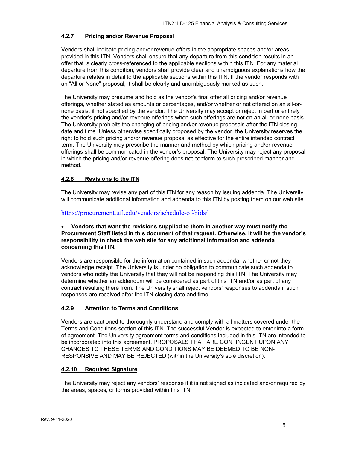# <span id="page-14-0"></span>**4.2.7 Pricing and/or Revenue Proposal**

Vendors shall indicate pricing and/or revenue offers in the appropriate spaces and/or areas provided in this ITN. Vendors shall ensure that any departure from this condition results in an offer that is clearly cross-referenced to the applicable sections within this ITN. For any material departure from this condition, vendors shall provide clear and unambiguous explanations how the departure relates in detail to the applicable sections within this ITN. If the vendor responds with an "All or None" proposal, it shall be clearly and unambiguously marked as such.

The University may presume and hold as the vendor's final offer all pricing and/or revenue offerings, whether stated as amounts or percentages, and/or whether or not offered on an all-ornone basis, if not specified by the vendor. The University may accept or reject in part or entirely the vendor's pricing and/or revenue offerings when such offerings are not on an all-or-none basis. The University prohibits the changing of pricing and/or revenue proposals after the ITN closing date and time. Unless otherwise specifically proposed by the vendor, the University reserves the right to hold such pricing and/or revenue proposal as effective for the entire intended contract term. The University may prescribe the manner and method by which pricing and/or revenue offerings shall be communicated in the vendor's proposal. The University may reject any proposal in which the pricing and/or revenue offering does not conform to such prescribed manner and method.

# <span id="page-14-1"></span>**4.2.8 Revisions to the ITN**

The University may revise any part of this ITN for any reason by issuing addenda. The University will communicate additional information and addenda to this ITN by posting them on our web site.

<https://procurement.ufl.edu/vendors/schedule-of-bids/>

### • **Vendors that want the revisions supplied to them in another way must notify the Procurement Staff listed in this document of that request. Otherwise, it will be the vendor's responsibility to check the web site for any additional information and addenda concerning this ITN.**

Vendors are responsible for the information contained in such addenda, whether or not they acknowledge receipt. The University is under no obligation to communicate such addenda to vendors who notify the University that they will not be responding this ITN. The University may determine whether an addendum will be considered as part of this ITN and/or as part of any contract resulting there from. The University shall reject vendors' responses to addenda if such responses are received after the ITN closing date and time.

#### <span id="page-14-2"></span>**4.2.9 Attention to Terms and Conditions**

Vendors are cautioned to thoroughly understand and comply with all matters covered under the Terms and Conditions section of this ITN. The successful Vendor is expected to enter into a form of agreement. The University agreement terms and conditions included in this ITN are intended to be incorporated into this agreement. PROPOSALS THAT ARE CONTINGENT UPON ANY CHANGES TO THESE TERMS AND CONDITIONS MAY BE DEEMED TO BE NON-RESPONSIVE AND MAY BE REJECTED (within the University's sole discretion).

#### <span id="page-14-3"></span>**4.2.10 Required Signature**

The University may reject any vendors' response if it is not signed as indicated and/or required by the areas, spaces, or forms provided within this ITN.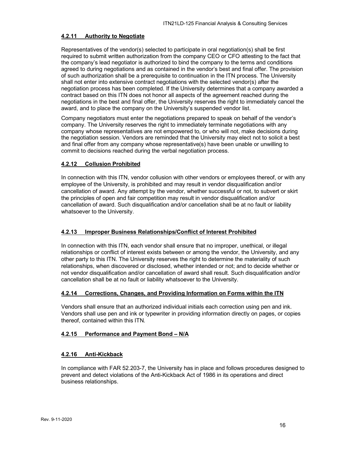### <span id="page-15-0"></span>**4.2.11 Authority to Negotiate**

Representatives of the vendor(s) selected to participate in oral negotiation(s) shall be first required to submit written authorization from the company CEO or CFO attesting to the fact that the company's lead negotiator is authorized to bind the company to the terms and conditions agreed to during negotiations and as contained in the vendor's best and final offer. The provision of such authorization shall be a prerequisite to continuation in the ITN process. The University shall not enter into extensive contract negotiations with the selected vendor(s) after the negotiation process has been completed. If the University determines that a company awarded a contract based on this ITN does not honor all aspects of the agreement reached during the negotiations in the best and final offer, the University reserves the right to immediately cancel the award, and to place the company on the University's suspended vendor list.

Company negotiators must enter the negotiations prepared to speak on behalf of the vendor's company. The University reserves the right to immediately terminate negotiations with any company whose representatives are not empowered to, or who will not, make decisions during the negotiation session. Vendors are reminded that the University may elect not to solicit a best and final offer from any company whose representative(s) have been unable or unwilling to commit to decisions reached during the verbal negotiation process.

# <span id="page-15-1"></span>**4.2.12 Collusion Prohibited**

In connection with this ITN, vendor collusion with other vendors or employees thereof, or with any employee of the University, is prohibited and may result in vendor disqualification and/or cancellation of award. Any attempt by the vendor, whether successful or not, to subvert or skirt the principles of open and fair competition may result in vendor disqualification and/or cancellation of award. Such disqualification and/or cancellation shall be at no fault or liability whatsoever to the University.

# <span id="page-15-2"></span>**4.2.13 Improper Business Relationships/Conflict of Interest Prohibited**

In connection with this ITN, each vendor shall ensure that no improper, unethical, or illegal relationships or conflict of interest exists between or among the vendor, the University, and any other party to this ITN. The University reserves the right to determine the materiality of such relationships, when discovered or disclosed, whether intended or not; and to decide whether or not vendor disqualification and/or cancellation of award shall result. Such disqualification and/or cancellation shall be at no fault or liability whatsoever to the University.

#### <span id="page-15-3"></span>**4.2.14 Corrections, Changes, and Providing Information on Forms within the ITN**

Vendors shall ensure that an authorized individual initials each correction using pen and ink. Vendors shall use pen and ink or typewriter in providing information directly on pages, or copies thereof, contained within this ITN.

#### <span id="page-15-4"></span>**4.2.15 Performance and Payment Bond – N/A**

#### <span id="page-15-5"></span>**4.2.16 Anti-Kickback**

In compliance with FAR 52.203-7, the University has in place and follows procedures designed to prevent and detect violations of the Anti-Kickback Act of 1986 in its operations and direct business relationships.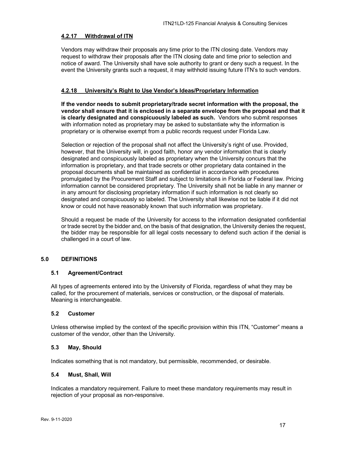### <span id="page-16-0"></span>**4.2.17 Withdrawal of ITN**

Vendors may withdraw their proposals any time prior to the ITN closing date. Vendors may request to withdraw their proposals after the ITN closing date and time prior to selection and notice of award. The University shall have sole authority to grant or deny such a request. In the event the University grants such a request, it may withhold issuing future ITN's to such vendors.

# <span id="page-16-1"></span>**4.2.18 University's Right to Use Vendor's Ideas/Proprietary Information**

**If the vendor needs to submit proprietary/trade secret information with the proposal, the vendor shall ensure that it is enclosed in a separate envelope from the proposal and that it is clearly designated and conspicuously labeled as such.** Vendors who submit responses with information noted as proprietary may be asked to substantiate why the information is proprietary or is otherwise exempt from a public records request under Florida Law.

Selection or rejection of the proposal shall not affect the University's right of use. Provided, however, that the University will, in good faith, honor any vendor information that is clearly designated and conspicuously labeled as proprietary when the University concurs that the information is proprietary, and that trade secrets or other proprietary data contained in the proposal documents shall be maintained as confidential in accordance with procedures promulgated by the Procurement Staff and subject to limitations in Florida or Federal law. Pricing information cannot be considered proprietary. The University shall not be liable in any manner or in any amount for disclosing proprietary information if such information is not clearly so designated and conspicuously so labeled. The University shall likewise not be liable if it did not know or could not have reasonably known that such information was proprietary.

Should a request be made of the University for access to the information designated confidential or trade secret by the bidder and, on the basis of that designation, the University denies the request, the bidder may be responsible for all legal costs necessary to defend such action if the denial is challenged in a court of law.

# <span id="page-16-2"></span>**5.0 DEFINITIONS**

#### <span id="page-16-3"></span>**5.1 Agreement/Contract**

All types of agreements entered into by the University of Florida, regardless of what they may be called, for the procurement of materials, services or construction, or the disposal of materials. Meaning is interchangeable.

#### <span id="page-16-4"></span>**5.2 Customer**

Unless otherwise implied by the context of the specific provision within this ITN, "Customer" means a customer of the vendor, other than the University.

#### <span id="page-16-5"></span>**5.3 May, Should**

Indicates something that is not mandatory, but permissible, recommended, or desirable.

# <span id="page-16-6"></span>**5.4 Must, Shall, Will**

Indicates a mandatory requirement. Failure to meet these mandatory requirements may result in rejection of your proposal as non-responsive.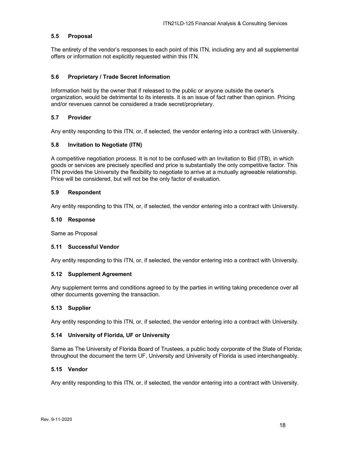# <span id="page-17-0"></span>**5.5 Proposal**

The entirety of the vendor's responses to each point of this ITN, including any and all supplemental offers or information not explicitly requested within this ITN.

# <span id="page-17-1"></span>**5.6 Proprietary / Trade Secret Information**

Information held by the owner that if released to the public or anyone outside the owner's organization, would be detrimental to its interests. It is an issue of fact rather than opinion. Pricing and/or revenues cannot be considered a trade secret/proprietary.

# <span id="page-17-2"></span>**5.7 Provider**

Any entity responding to this ITN, or, if selected, the vendor entering into a contract with University.

#### <span id="page-17-3"></span>**5.8 Invitation to Negotiate (ITN)**

A competitive negotiation process. It is not to be confused with an Invitation to Bid (ITB), in which goods or services are precisely specified and price is substantially the only competitive factor. This ITN provides the University the flexibility to negotiate to arrive at a mutually agreeable relationship. Price will be considered, but will not be the only factor of evaluation.

#### <span id="page-17-4"></span>**5.9 Respondent**

Any entity responding to this ITN, or, if selected, the vendor entering into a contract with University.

#### <span id="page-17-5"></span>**5.10 Response**

Same as Proposal

#### <span id="page-17-6"></span>**5.11 Successful Vendor**

Any entity responding to this ITN, or, if selected, the vendor entering into a contract with University.

#### <span id="page-17-7"></span>**5.12 Supplement Agreement**

Any supplement terms and conditions agreed to by the parties in writing taking precedence over all other documents governing the transaction.

#### <span id="page-17-8"></span>**5.13 Supplier**

Any entity responding to this ITN, or, if selected, the vendor entering into a contract with University.

#### <span id="page-17-9"></span>**5.14 University of Florida, UF or University**

Same as The University of Florida Board of Trustees, a public body corporate of the State of Florida; throughout the document the term UF, University and University of Florida is used interchangeably.

#### <span id="page-17-10"></span>**5.15 Vendor**

Any entity responding to this ITN, or, if selected, the vendor entering into a contract with University.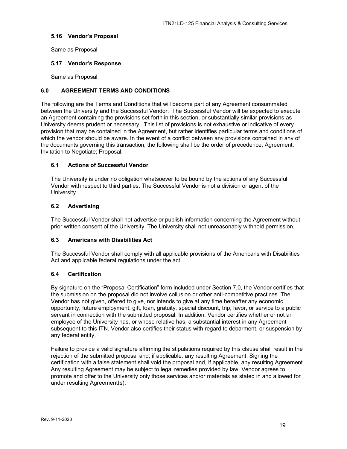#### <span id="page-18-0"></span>**5.16 Vendor's Proposal**

Same as Proposal

# <span id="page-18-1"></span>**5.17 Vendor's Response**

Same as Proposal

# <span id="page-18-2"></span>**6.0 AGREEMENT TERMS AND CONDITIONS**

The following are the Terms and Conditions that will become part of any Agreement consummated between the University and the Successful Vendor. The Successful Vendor will be expected to execute an Agreement containing the provisions set forth in this section, or substantially similar provisions as University deems prudent or necessary. This list of provisions is not exhaustive or indicative of every provision that may be contained in the Agreement, but rather identifies particular terms and conditions of which the vendor should be aware. In the event of a conflict between any provisions contained in any of the documents governing this transaction, the following shall be the order of precedence: Agreement; Invitation to Negotiate; Proposal.

# <span id="page-18-3"></span>**6.1 Actions of Successful Vendor**

The University is under no obligation whatsoever to be bound by the actions of any Successful Vendor with respect to third parties. The Successful Vendor is not a division or agent of the University.

# <span id="page-18-4"></span>**6.2 Advertising**

The Successful Vendor shall not advertise or publish information concerning the Agreement without prior written consent of the University. The University shall not unreasonably withhold permission.

#### <span id="page-18-5"></span>**6.3 Americans with Disabilities Act**

The Successful Vendor shall comply with all applicable provisions of the Americans with Disabilities Act and applicable federal regulations under the act.

#### <span id="page-18-6"></span>**6.4 Certification**

By signature on the "Proposal Certification" form included under Section 7.0, the Vendor certifies that the submission on the proposal did not involve collusion or other anti-competitive practices. The Vendor has not given, offered to give, nor intends to give at any time hereafter any economic opportunity, future employment, gift, loan, gratuity, special discount, trip, favor, or service to a public servant in connection with the submitted proposal. In addition, Vendor certifies whether or not an employee of the University has, or whose relative has, a substantial interest in any Agreement subsequent to this ITN. Vendor also certifies their status with regard to debarment, or suspension by any federal entity.

Failure to provide a valid signature affirming the stipulations required by this clause shall result in the rejection of the submitted proposal and, if applicable, any resulting Agreement. Signing the certification with a false statement shall void the proposal and, if applicable, any resulting Agreement. Any resulting Agreement may be subject to legal remedies provided by law. Vendor agrees to promote and offer to the University only those services and/or materials as stated in and allowed for under resulting Agreement(s).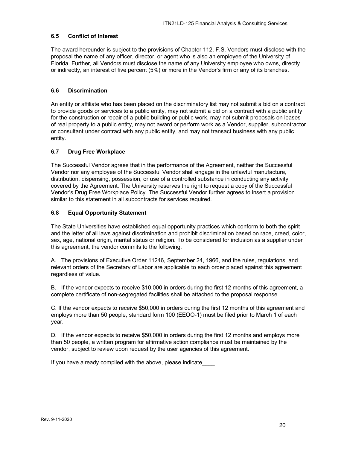# <span id="page-19-0"></span>**6.5 Conflict of Interest**

The award hereunder is subject to the provisions of Chapter 112, F.S. Vendors must disclose with the proposal the name of any officer, director, or agent who is also an employee of the University of Florida. Further, all Vendors must disclose the name of any University employee who owns, directly or indirectly, an interest of five percent (5%) or more in the Vendor's firm or any of its branches.

# <span id="page-19-1"></span>**6.6 Discrimination**

An entity or affiliate who has been placed on the discriminatory list may not submit a bid on a contract to provide goods or services to a public entity, may not submit a bid on a contract with a public entity for the construction or repair of a public building or public work, may not submit proposals on leases of real property to a public entity, may not award or perform work as a Vendor, supplier, subcontractor or consultant under contract with any public entity, and may not transact business with any public entity.

# <span id="page-19-2"></span>**6.7 Drug Free Workplace**

The Successful Vendor agrees that in the performance of the Agreement, neither the Successful Vendor nor any employee of the Successful Vendor shall engage in the unlawful manufacture, distribution, dispensing, possession, or use of a controlled substance in conducting any activity covered by the Agreement. The University reserves the right to request a copy of the Successful Vendor's Drug Free Workplace Policy. The Successful Vendor further agrees to insert a provision similar to this statement in all subcontracts for services required.

# <span id="page-19-3"></span>**6.8 Equal Opportunity Statement**

The State Universities have established equal opportunity practices which conform to both the spirit and the letter of all laws against discrimination and prohibit discrimination based on race, creed, color, sex, age, national origin, marital status or religion. To be considered for inclusion as a supplier under this agreement, the vendor commits to the following:

A. The provisions of Executive Order 11246, September 24, 1966, and the rules, regulations, and relevant orders of the Secretary of Labor are applicable to each order placed against this agreement regardless of value.

B. If the vendor expects to receive \$10,000 in orders during the first 12 months of this agreement, a complete certificate of non-segregated facilities shall be attached to the proposal response.

C. If the vendor expects to receive \$50,000 in orders during the first 12 months of this agreement and employs more than 50 people, standard form 100 (EEOO-1) must be filed prior to March 1 of each year.

D. If the vendor expects to receive \$50,000 in orders during the first 12 months and employs more than 50 people, a written program for affirmative action compliance must be maintained by the vendor, subject to review upon request by the user agencies of this agreement.

If you have already complied with the above, please indicate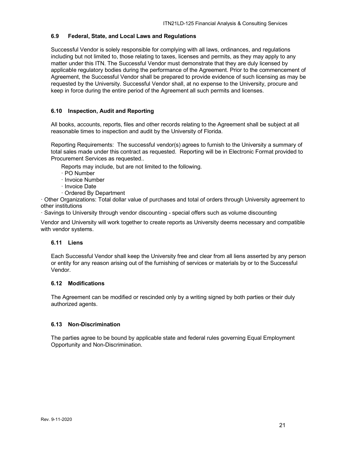# <span id="page-20-0"></span>**6.9 Federal, State, and Local Laws and Regulations**

Successful Vendor is solely responsible for complying with all laws, ordinances, and regulations including but not limited to, those relating to taxes, licenses and permits, as they may apply to any matter under this ITN. The Successful Vendor must demonstrate that they are duly licensed by applicable regulatory bodies during the performance of the Agreement. Prior to the commencement of Agreement, the Successful Vendor shall be prepared to provide evidence of such licensing as may be requested by the University. Successful Vendor shall, at no expense to the University, procure and keep in force during the entire period of the Agreement all such permits and licenses.

# <span id="page-20-1"></span>**6.10 Inspection, Audit and Reporting**

All books, accounts, reports, files and other records relating to the Agreement shall be subject at all reasonable times to inspection and audit by the University of Florida.

Reporting Requirements: The successful vendor(s) agrees to furnish to the University a summary of total sales made under this contract as requested. Reporting will be in Electronic Format provided to Procurement Services as requested..

Reports may include, but are not limited to the following.

- · PO Number
- · Invoice Number
- · Invoice Date
- · Ordered By Department

· Other Organizations: Total dollar value of purchases and total of orders through University agreement to other institutions

· Savings to University through vendor discounting - special offers such as volume discounting

Vendor and University will work together to create reports as University deems necessary and compatible with vendor systems.

#### <span id="page-20-2"></span>**6.11 Liens**

Each Successful Vendor shall keep the University free and clear from all liens asserted by any person or entity for any reason arising out of the furnishing of services or materials by or to the Successful Vendor.

# <span id="page-20-3"></span>**6.12 Modifications**

The Agreement can be modified or rescinded only by a writing signed by both parties or their duly authorized agents.

# <span id="page-20-4"></span>**6.13 Non-Discrimination**

The parties agree to be bound by applicable state and federal rules governing Equal Employment Opportunity and Non-Discrimination.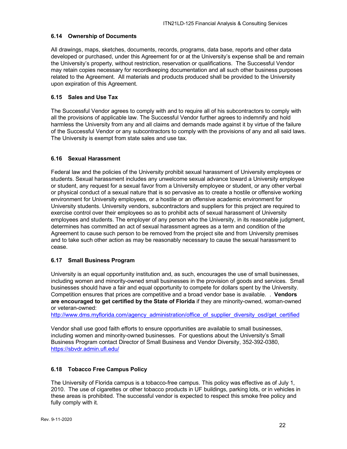# <span id="page-21-0"></span>**6.14 Ownership of Documents**

All drawings, maps, sketches, documents, records, programs, data base, reports and other data developed or purchased, under this Agreement for or at the University's expense shall be and remain the University's property, without restriction, reservation or qualifications. The Successful Vendor may retain copies necessary for recordkeeping documentation and all such other business purposes related to the Agreement. All materials and products produced shall be provided to the University upon expiration of this Agreement.

# <span id="page-21-1"></span>**6.15 Sales and Use Tax**

The Successful Vendor agrees to comply with and to require all of his subcontractors to comply with all the provisions of applicable law. The Successful Vendor further agrees to indemnify and hold harmless the University from any and all claims and demands made against it by virtue of the failure of the Successful Vendor or any subcontractors to comply with the provisions of any and all said laws. The University is exempt from state sales and use tax.

# <span id="page-21-2"></span>**6.16 Sexual Harassment**

Federal law and the policies of the University prohibit sexual harassment of University employees or students. Sexual harassment includes any unwelcome sexual advance toward a University employee or student, any request for a sexual favor from a University employee or student, or any other verbal or physical conduct of a sexual nature that is so pervasive as to create a hostile or offensive working environment for University employees, or a hostile or an offensive academic environment for University students. University vendors, subcontractors and suppliers for this project are required to exercise control over their employees so as to prohibit acts of sexual harassment of University employees and students. The employer of any person who the University, in its reasonable judgment, determines has committed an act of sexual harassment agrees as a term and condition of the Agreement to cause such person to be removed from the project site and from University premises and to take such other action as may be reasonably necessary to cause the sexual harassment to cease.

#### <span id="page-21-3"></span>**6.17 Small Business Program**

University is an equal opportunity institution and, as such, encourages the use of small businesses, including women and minority-owned small businesses in the provision of goods and services. Small businesses should have a fair and equal opportunity to compete for dollars spent by the University. Competition ensures that prices are competitive and a broad vendor base is available. . **Vendors are encouraged to get certified by the State of Florida** if they are minority-owned, woman-owned or veteran-owned:

[http://www.dms.myflorida.com/agency\\_administration/office\\_of\\_supplier\\_diversity\\_osd/get\\_certified](http://www.dms.myflorida.com/agency_administration/office_of_supplier_diversity_osd/get_certified)

Vendor shall use good faith efforts to ensure opportunities are available to small businesses, including women and minority-owned businesses. For questions about the University's Small Business Program contact Director of Small Business and Vendor Diversity, 352-392-0380, <https://sbvdr.admin.ufl.edu/>

#### <span id="page-21-4"></span>**6.18 Tobacco Free Campus Policy**

The University of Florida campus is a tobacco-free campus. This policy was effective as of July 1, 2010. The use of cigarettes or other tobacco products in UF buildings, parking lots, or in vehicles in these areas is prohibited. The successful vendor is expected to respect this smoke free policy and fully comply with it.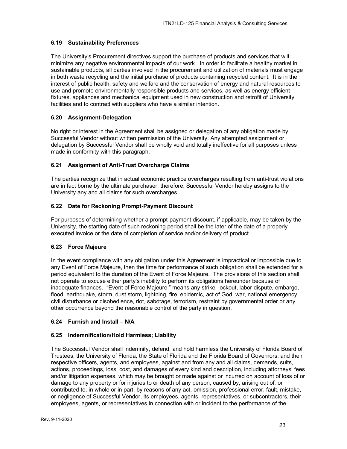# <span id="page-22-0"></span>**6.19 Sustainability Preferences**

The University's Procurement directives support the purchase of products and services that will minimize any negative environmental impacts of our work. In order to facilitate a healthy market in sustainable products, all parties involved in the procurement and utilization of materials must engage in both waste recycling and the initial purchase of products containing recycled content. It is in the interest of public health, safety and welfare and the conservation of energy and natural resources to use and promote environmentally responsible products and services, as well as energy efficient fixtures, appliances and mechanical equipment used in new construction and retrofit of University facilities and to contract with suppliers who have a similar intention.

# <span id="page-22-1"></span>**6.20 Assignment-Delegation**

No right or interest in the Agreement shall be assigned or delegation of any obligation made by Successful Vendor without written permission of the University. Any attempted assignment or delegation by Successful Vendor shall be wholly void and totally ineffective for all purposes unless made in conformity with this paragraph.

# <span id="page-22-2"></span>**6.21 Assignment of Anti-Trust Overcharge Claims**

The parties recognize that in actual economic practice overcharges resulting from anti-trust violations are in fact borne by the ultimate purchaser; therefore, Successful Vendor hereby assigns to the University any and all claims for such overcharges.

# <span id="page-22-3"></span>**6.22 Date for Reckoning Prompt-Payment Discount**

For purposes of determining whether a prompt-payment discount, if applicable, may be taken by the University, the starting date of such reckoning period shall be the later of the date of a properly executed invoice or the date of completion of service and/or delivery of product.

#### <span id="page-22-4"></span>**6.23 Force Majeure**

In the event compliance with any obligation under this Agreement is impractical or impossible due to any Event of Force Majeure, then the time for performance of such obligation shall be extended for a period equivalent to the duration of the Event of Force Majeure. The provisions of this section shall not operate to excuse either party's inability to perform its obligations hereunder because of inadequate finances. "Event of Force Majeure:" means any strike, lockout, labor dispute, embargo, flood, earthquake, storm, dust storm, lightning, fire, epidemic, act of God, war, national emergency, civil disturbance or disobedience, riot, sabotage, terrorism, restraint by governmental order or any other occurrence beyond the reasonable control of the party in question.

# <span id="page-22-5"></span>**6.24 Furnish and Install – N/A**

#### <span id="page-22-6"></span>**6.25 Indemnification/Hold Harmless; Liability**

The Successful Vendor shall indemnify, defend, and hold harmless the University of Florida Board of Trustees, the University of Florida, the State of Florida and the Florida Board of Governors, and their respective officers, agents, and employees, against and from any and all claims, demands, suits, actions, proceedings, loss, cost, and damages of every kind and description, including attorneys' fees and/or litigation expenses, which may be brought or made against or incurred on account of loss of or damage to any property or for injuries to or death of any person, caused by, arising out of, or contributed to, in whole or in part, by reasons of any act, omission, professional error, fault, mistake, or negligence of Successful Vendor, its employees, agents, representatives, or subcontractors, their employees, agents, or representatives in connection with or incident to the performance of the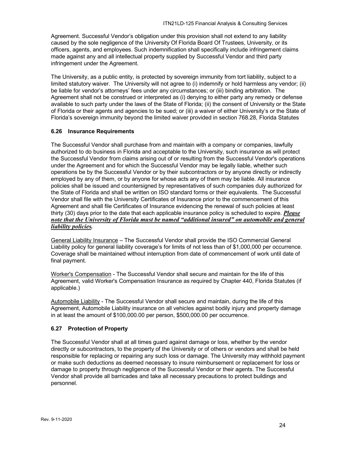Agreement. Successful Vendor's obligation under this provision shall not extend to any liability caused by the sole negligence of the University Of Florida Board Of Trustees, University, or its officers, agents, and employees. Such indemnification shall specifically include infringement claims made against any and all intellectual property supplied by Successful Vendor and third party infringement under the Agreement.

The University, as a public entity, is protected by sovereign immunity from tort liability, subject to a limited statutory waiver. The University will not agree to (i) indemnify or hold harmless any vendor; (ii) be liable for vendor's attorneys' fees under any circumstances; or (iii) binding arbitration. The Agreement shall not be construed or interpreted as (i) denying to either party any remedy or defense available to such party under the laws of the State of Florida; (ii) the consent of University or the State of Florida or their agents and agencies to be sued; or (iii) a waiver of either University's or the State of Florida's sovereign immunity beyond the limited waiver provided in section 768.28, Florida Statutes

# <span id="page-23-0"></span>**6.26 Insurance Requirements**

The Successful Vendor shall purchase from and maintain with a company or companies, lawfully authorized to do business in Florida and acceptable to the University, such insurance as will protect the Successful Vendor from claims arising out of or resulting from the Successful Vendor's operations under the Agreement and for which the Successful Vendor may be legally liable, whether such operations be by the Successful Vendor or by their subcontractors or by anyone directly or indirectly employed by any of them, or by anyone for whose acts any of them may be liable. All insurance policies shall be issued and countersigned by representatives of such companies duly authorized for the State of Florida and shall be written on ISO standard forms or their equivalents. The Successful Vendor shall file with the University Certificates of Insurance prior to the commencement of this Agreement and shall file Certificates of Insurance evidencing the renewal of such policies at least thirty (30) days prior to the date that each applicable insurance policy is scheduled to expire. *Please note that the University of Florida must be named "additional insured" on automobile and general liability policies.*

General Liability Insurance – The Successful Vendor shall provide the ISO Commercial General Liability policy for general liability coverage's for limits of not less than of \$1,000,000 per occurrence. Coverage shall be maintained without interruption from date of commencement of work until date of final payment.

Worker's Compensation - The Successful Vendor shall secure and maintain for the life of this Agreement, valid Worker's Compensation Insurance as required by Chapter 440, Florida Statutes (if applicable.)

Automobile Liability - The Successful Vendor shall secure and maintain, during the life of this Agreement, Automobile Liability insurance on all vehicles against bodily injury and property damage in at least the amount of \$100,000.00 per person, \$500,000.00 per occurrence.

# <span id="page-23-1"></span>**6.27 Protection of Property**

The Successful Vendor shall at all times guard against damage or loss, whether by the vendor directly or subcontractors, to the property of the University or of others or vendors and shall be held responsible for replacing or repairing any such loss or damage. The University may withhold payment or make such deductions as deemed necessary to insure reimbursement or replacement for loss or damage to property through negligence of the Successful Vendor or their agents. The Successful Vendor shall provide all barricades and take all necessary precautions to protect buildings and personnel.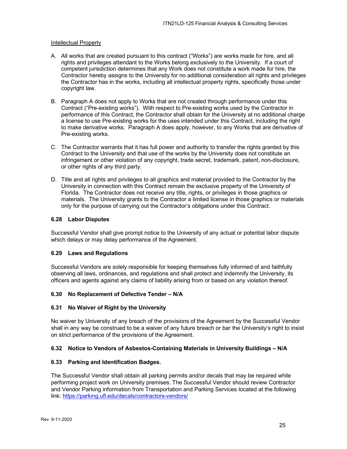#### Intellectual Property

- A. All works that are created pursuant to this contract ("Works") are works made for hire, and all rights and privileges attendant to the Works belong exclusively to the University. If a court of competent jurisdiction determines that any Work does not constitute a work made for hire, the Contractor hereby assigns to the University for no additional consideration all rights and privileges the Contractor has in the works, including all intellectual property rights, specifically those under copyright law.
- B. Paragraph A does not apply to Works that are not created through performance under this Contract ("Pre-existing works"). With respect to Pre-existing works used by the Contractor in performance of this Contract, the Contractor shall obtain for the University at no additional charge a license to use Pre-existing works for the uses intended under this Contract, including the right to make derivative works. Paragraph A does apply, however, to any Works that are derivative of Pre-existing works.
- C. The Contractor warrants that it has full power and authority to transfer the rights granted by this Contract to the University and that use of the works by the University does not constitute an infringement or other violation of any copyright, trade secret, trademark, patent, non-disclosure, or other rights of any third party.
- D. Title and all rights and privileges to all graphics and material provided to the Contractor by the University in connection with this Contract remain the exclusive property of the University of Florida. The Contractor does not receive any title, rights, or privileges in those graphics or materials. The University grants to the Contractor a limited license in those graphics or materials only for the purpose of carrying out the Contractor's obligations under this Contract.

#### <span id="page-24-0"></span>**6.28 Labor Disputes**

Successful Vendor shall give prompt notice to the University of any actual or potential labor dispute which delays or may delay performance of the Agreement.

#### <span id="page-24-1"></span>**6.29 Laws and Regulations**

Successful Vendors are solely responsible for keeping themselves fully informed of and faithfully observing all laws, ordinances, and regulations and shall protect and indemnify the University, its officers and agents against any claims of liability arising from or based on any violation thereof.

#### <span id="page-24-2"></span>**6.30 No Replacement of Defective Tender – N/A**

#### <span id="page-24-3"></span>**6.31 No Waiver of Right by the University**

No waiver by University of any breach of the provisions of the Agreement by the Successful Vendor shall in any way be construed to be a waiver of any future breach or bar the University's right to insist on strict performance of the provisions of the Agreement.

#### <span id="page-24-4"></span>**6.32 Notice to Vendors of Asbestos-Containing Materials in University Buildings – N/A**

#### <span id="page-24-5"></span>**6.33 Parking and Identification Badges.**

The Successful Vendor shall obtain all parking permits and/or decals that may be required while performing project work on University premises. The Successful Vendor should review Contractor and Vendor Parking information from Transportation and Parking Services located at the following link:<https://parking.ufl.edu/decals/contractors-vendors/>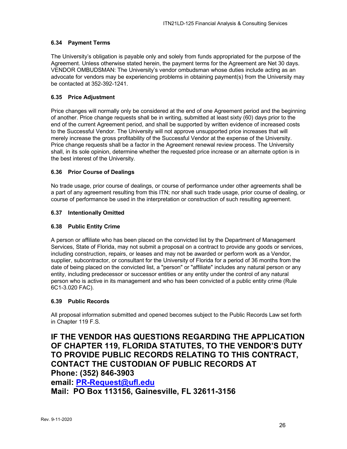# <span id="page-25-0"></span>**6.34 Payment Terms**

The University's obligation is payable only and solely from funds appropriated for the purpose of the Agreement. Unless otherwise stated herein, the payment terms for the Agreement are Net 30 days. VENDOR OMBUDSMAN: The University's vendor ombudsman whose duties include acting as an advocate for vendors may be experiencing problems in obtaining payment(s) from the University may be contacted at 352-392-1241.

# <span id="page-25-1"></span>**6.35 Price Adjustment**

Price changes will normally only be considered at the end of one Agreement period and the beginning of another. Price change requests shall be in writing, submitted at least sixty (60) days prior to the end of the current Agreement period, and shall be supported by written evidence of increased costs to the Successful Vendor. The University will not approve unsupported price increases that will merely increase the gross profitability of the Successful Vendor at the expense of the University. Price change requests shall be a factor in the Agreement renewal review process. The University shall, in its sole opinion, determine whether the requested price increase or an alternate option is in the best interest of the University.

# <span id="page-25-2"></span>**6.36 Prior Course of Dealings**

No trade usage, prior course of dealings, or course of performance under other agreements shall be a part of any agreement resulting from this ITN; nor shall such trade usage, prior course of dealing, or course of performance be used in the interpretation or construction of such resulting agreement.

# <span id="page-25-3"></span>**6.37 Intentionally Omitted**

# <span id="page-25-4"></span>**6.38 Public Entity Crime**

A person or affiliate who has been placed on the convicted list by the Department of Management Services, State of Florida, may not submit a proposal on a contract to provide any goods or services, including construction, repairs, or leases and may not be awarded or perform work as a Vendor, supplier, subcontractor, or consultant for the University of Florida for a period of 36 months from the date of being placed on the convicted list, a "person" or "affiliate" includes any natural person or any entity, including predecessor or successor entities or any entity under the control of any natural person who is active in its management and who has been convicted of a public entity crime (Rule 6C1-3.020 FAC).

# <span id="page-25-5"></span>**6.39 Public Records**

All proposal information submitted and opened becomes subject to the Public Records Law set forth in Chapter 119 F.S.

# **IF THE VENDOR HAS QUESTIONS REGARDING THE APPLICATION OF CHAPTER 119, FLORIDA STATUTES, TO THE VENDOR'S DUTY TO PROVIDE PUBLIC RECORDS RELATING TO THIS CONTRACT, CONTACT THE CUSTODIAN OF PUBLIC RECORDS AT Phone: (352) 846-3903**

**email: [PR-Request@ufl.edu](mailto:PR-Request@ufl.edu)**

**Mail: PO Box 113156, Gainesville, FL 32611-3156**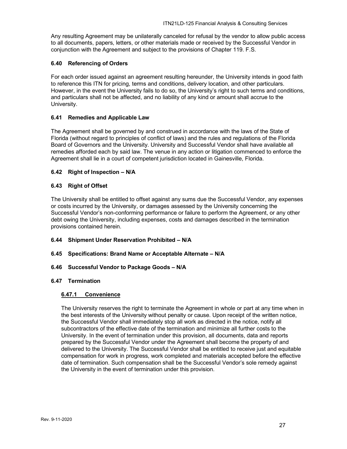Any resulting Agreement may be unilaterally canceled for refusal by the vendor to allow public access to all documents, papers, letters, or other materials made or received by the Successful Vendor in conjunction with the Agreement and subject to the provisions of Chapter 119. F.S.

# <span id="page-26-0"></span>**6.40 Referencing of Orders**

For each order issued against an agreement resulting hereunder, the University intends in good faith to reference this ITN for pricing, terms and conditions, delivery location, and other particulars. However, in the event the University fails to do so, the University's right to such terms and conditions, and particulars shall not be affected, and no liability of any kind or amount shall accrue to the University.

#### <span id="page-26-1"></span>**6.41 Remedies and Applicable Law**

The Agreement shall be governed by and construed in accordance with the laws of the State of Florida (without regard to principles of conflict of laws) and the rules and regulations of the Florida Board of Governors and the University. University and Successful Vendor shall have available all remedies afforded each by said law. The venue in any action or litigation commenced to enforce the Agreement shall lie in a court of competent jurisdiction located in Gainesville, Florida.

# <span id="page-26-2"></span>**6.42 Right of Inspection – N/A**

# <span id="page-26-3"></span>**6.43 Right of Offset**

The University shall be entitled to offset against any sums due the Successful Vendor, any expenses or costs incurred by the University, or damages assessed by the University concerning the Successful Vendor's non-conforming performance or failure to perform the Agreement, or any other debt owing the University, including expenses, costs and damages described in the termination provisions contained herein.

# <span id="page-26-4"></span>**6.44 Shipment Under Reservation Prohibited – N/A**

<span id="page-26-5"></span>**6.45 Specifications: Brand Name or Acceptable Alternate – N/A**

#### <span id="page-26-6"></span>**6.46 Successful Vendor to Package Goods – N/A**

# <span id="page-26-8"></span><span id="page-26-7"></span>**6.47 Termination**

#### **6.47.1 Convenience**

The University reserves the right to terminate the Agreement in whole or part at any time when in the best interests of the University without penalty or cause. Upon receipt of the written notice, the Successful Vendor shall immediately stop all work as directed in the notice, notify all subcontractors of the effective date of the termination and minimize all further costs to the University. In the event of termination under this provision, all documents, data and reports prepared by the Successful Vendor under the Agreement shall become the property of and delivered to the University. The Successful Vendor shall be entitled to receive just and equitable compensation for work in progress, work completed and materials accepted before the effective date of termination. Such compensation shall be the Successful Vendor's sole remedy against the University in the event of termination under this provision.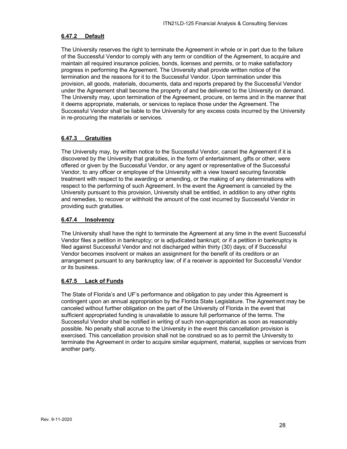# <span id="page-27-0"></span>**6.47.2 Default**

The University reserves the right to terminate the Agreement in whole or in part due to the failure of the Successful Vendor to comply with any term or condition of the Agreement, to acquire and maintain all required insurance policies, bonds, licenses and permits, or to make satisfactory progress in performing the Agreement. The University shall provide written notice of the termination and the reasons for it to the Successful Vendor. Upon termination under this provision, all goods, materials, documents, data and reports prepared by the Successful Vendor under the Agreement shall become the property of and be delivered to the University on demand. The University may, upon termination of the Agreement, procure, on terms and in the manner that it deems appropriate, materials, or services to replace those under the Agreement. The Successful Vendor shall be liable to the University for any excess costs incurred by the University in re-procuring the materials or services.

# <span id="page-27-1"></span>**6.47.3 Gratuities**

The University may, by written notice to the Successful Vendor, cancel the Agreement if it is discovered by the University that gratuities, in the form of entertainment, gifts or other, were offered or given by the Successful Vendor, or any agent or representative of the Successful Vendor, to any officer or employee of the University with a view toward securing favorable treatment with respect to the awarding or amending, or the making of any determinations with respect to the performing of such Agreement. In the event the Agreement is canceled by the University pursuant to this provision, University shall be entitled, in addition to any other rights and remedies, to recover or withhold the amount of the cost incurred by Successful Vendor in providing such gratuities.

# <span id="page-27-2"></span>**6.47.4 Insolvency**

The University shall have the right to terminate the Agreement at any time in the event Successful Vendor files a petition in bankruptcy; or is adjudicated bankrupt; or if a petition in bankruptcy is filed against Successful Vendor and not discharged within thirty (30) days; of if Successful Vendor becomes insolvent or makes an assignment for the benefit of its creditors or an arrangement pursuant to any bankruptcy law; of if a receiver is appointed for Successful Vendor or its business.

# <span id="page-27-3"></span>**6.47.5 Lack of Funds**

The State of Florida's and UF's performance and obligation to pay under this Agreement is contingent upon an annual appropriation by the Florida State Legislature. The Agreement may be canceled without further obligation on the part of the University of Florida in the event that sufficient appropriated funding is unavailable to assure full performance of the terms. The Successful Vendor shall be notified in writing of such non-appropriation as soon as reasonably possible. No penalty shall accrue to the University in the event this cancellation provision is exercised. This cancellation provision shall not be construed so as to permit the University to terminate the Agreement in order to acquire similar equipment, material, supplies or services from another party.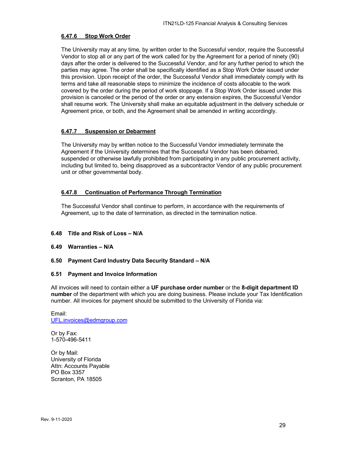### <span id="page-28-0"></span>**6.47.6 Stop Work Order**

The University may at any time, by written order to the Successful vendor, require the Successful Vendor to stop all or any part of the work called for by the Agreement for a period of ninety (90) days after the order is delivered to the Successful Vendor, and for any further period to which the parties may agree. The order shall be specifically identified as a Stop Work Order issued under this provision. Upon receipt of the order, the Successful Vendor shall immediately comply with its terms and take all reasonable steps to minimize the incidence of costs allocable to the work covered by the order during the period of work stoppage. If a Stop Work Order issued under this provision is canceled or the period of the order or any extension expires, the Successful Vendor shall resume work. The University shall make an equitable adjustment in the delivery schedule or Agreement price, or both, and the Agreement shall be amended in writing accordingly.

# <span id="page-28-1"></span>**6.47.7 Suspension or Debarment**

The University may by written notice to the Successful Vendor immediately terminate the Agreement if the University determines that the Successful Vendor has been debarred, suspended or otherwise lawfully prohibited from participating in any public procurement activity, including but limited to, being disapproved as a subcontractor Vendor of any public procurement unit or other governmental body.

# <span id="page-28-2"></span>**6.47.8 Continuation of Performance Through Termination**

The Successful Vendor shall continue to perform, in accordance with the requirements of Agreement, up to the date of termination, as directed in the termination notice.

# <span id="page-28-3"></span>**6.48 Title and Risk of Loss – N/A**

#### <span id="page-28-4"></span>**6.49 Warranties – N/A**

#### <span id="page-28-6"></span><span id="page-28-5"></span>**6.50 Payment Card Industry Data Security Standard – N/A**

#### **6.51 Payment and Invoice Information**

All invoices will need to contain either a **UF purchase order number** or the **8-digit department ID number** of the department with which you are doing business. Please include your Tax Identification number. All invoices for payment should be submitted to the University of Florida via:

Email: [UFL.invoices@edmgroup.com](mailto:UFL.invoices@edmgroup.com)

Or by Fax: 1-570-496-5411

Or by Mail: University of Florida Attn: Accounts Payable PO Box 3357 Scranton, PA 18505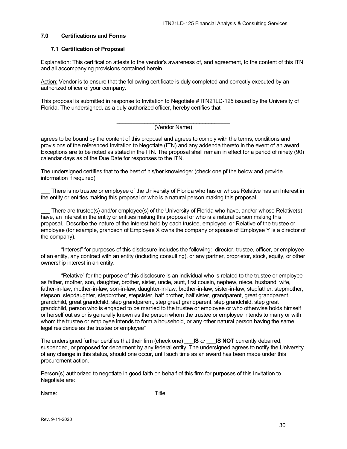# <span id="page-29-0"></span>**7.0 Certifications and Forms**

#### <span id="page-29-1"></span>**7.1 Certification of Proposal**

Explanation: This certification attests to the vendor's awareness of, and agreement, to the content of this ITN and all accompanying provisions contained herein.

Action: Vendor is to ensure that the following certificate is duly completed and correctly executed by an authorized officer of your company.

This proposal is submitted in response to Invitation to Negotiate # ITN21LD-125 issued by the University of Florida. The undersigned, as a duly authorized officer, hereby certifies that

#### \_\_\_\_\_\_\_\_\_\_\_\_\_\_\_\_\_\_\_\_\_\_\_\_\_\_\_\_\_\_\_\_\_\_\_\_\_ (Vendor Name)

agrees to be bound by the content of this proposal and agrees to comply with the terms, conditions and provisions of the referenced Invitation to Negotiate (ITN) and any addenda thereto in the event of an award. Exceptions are to be noted as stated in the ITN. The proposal shall remain in effect for a period of ninety (90) calendar days as of the Due Date for responses to the ITN.

The undersigned certifies that to the best of his/her knowledge: (check one pf the below and provide information if required)

There is no trustee or employee of the University of Florida who has or whose Relative has an Interest in the entity or entities making this proposal or who is a natural person making this proposal.

There are trustee(s) and/or employee(s) of the University of Florida who have, and/or whose Relative(s) have, an Interest in the entity or entities making this proposal or who is a natural person making this proposal. Describe the nature of the interest held by each trustee, employee, or Relative of the trustee or employee (for example, grandson of Employee X owns the company or spouse of Employee Y is a director of the company).

"Interest" for purposes of this disclosure includes the following: director, trustee, officer, or employee of an entity, any contract with an entity (including consulting), or any partner, proprietor, stock, equity, or other ownership interest in an entity.

"Relative" for the purpose of this disclosure is an individual who is related to the trustee or employee as father, mother, son, daughter, brother, sister, uncle, aunt, first cousin, nephew, niece, husband, wife, father-in-law, mother-in-law, son-in-law, daughter-in-law, brother-in-law, sister-in-law, stepfather, stepmother, stepson, stepdaughter, stepbrother, stepsister, half brother, half sister, grandparent, great grandparent, grandchild, great grandchild, step grandparent, step great grandparent, step grandchild, step great grandchild, person who is engaged to be married to the trustee or employee or who otherwise holds himself or herself out as or is generally known as the person whom the trustee or employee intends to marry or with whom the trustee or employee intends to form a household, or any other natural person having the same legal residence as the trustee or employee"

The undersigned further certifies that their firm (check one) \_\_\_**IS** *or* \_\_\_**IS NOT** currently debarred, suspended, or proposed for debarment by any federal entity. The undersigned agrees to notify the University of any change in this status, should one occur, until such time as an award has been made under this procurement action.

Person(s) authorized to negotiate in good faith on behalf of this firm for purposes of this Invitation to Negotiate are:

Name: example and the set of  $\blacksquare$  Title:  $\blacksquare$